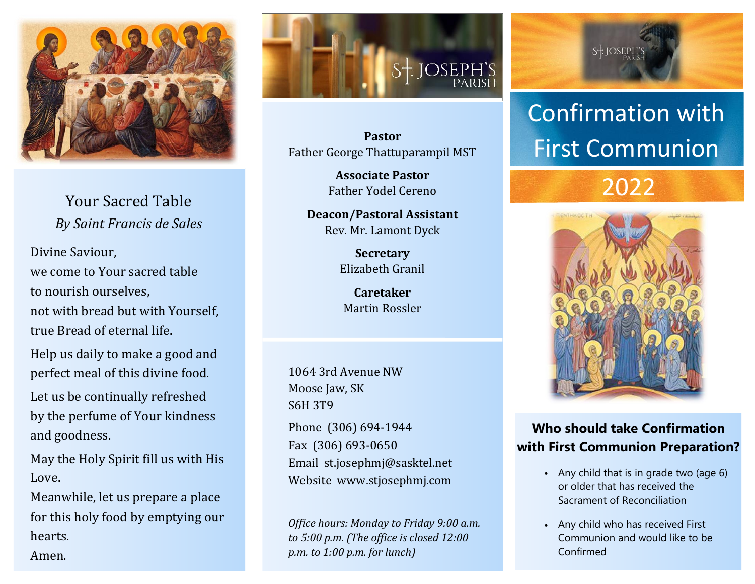

Your Sacred Table *By Saint Francis de Sales*

Divine Saviour, we come to Your sacred table to nourish ourselves, not with bread but with Yourself, true Bread of eternal life.

Help us daily to make a [good](http://www.catholic.org/encyclopedia/view.php?id=5257) and perfect meal of this divine food.

Let us be continually refreshed by the perfume of Your kindness and goodness.

May the Holy Spirit fill us with His Love.

Meanwhile, let us prepare a place for this holy food by emptying our hearts.

Amen.



**Pastor** Father George Thattuparampil MST

> **Associate Pastor** Father Yodel Cereno

**Deacon/Pastoral Assistant** Rev. Mr. Lamont Dyck

> **Secretary** Elizabeth Granil

**Caretaker** Martin Rossler

1064 3rd Avenue NW Moose Jaw, SK S6H 3T9

Phone (306) 694-1944 Fax (306) 693-0650 Email st.josephmj@sasktel.net Website www.stjosephmj.com

*Office hours: Monday to Friday 9:00 a.m. to 5:00 p.m. (The office is closed 12:00 p.m. to 1:00 p.m. for lunch)*

 $S+JOSEPH'S$ 

## Confirmation with First Communion

### 2022



#### **Who should take Confirmation with First Communion Preparation?**

- Any child that is in grade two (age 6) or older that has received the Sacrament of Reconciliation
- Any child who has received First Communion and would like to be Confirmed